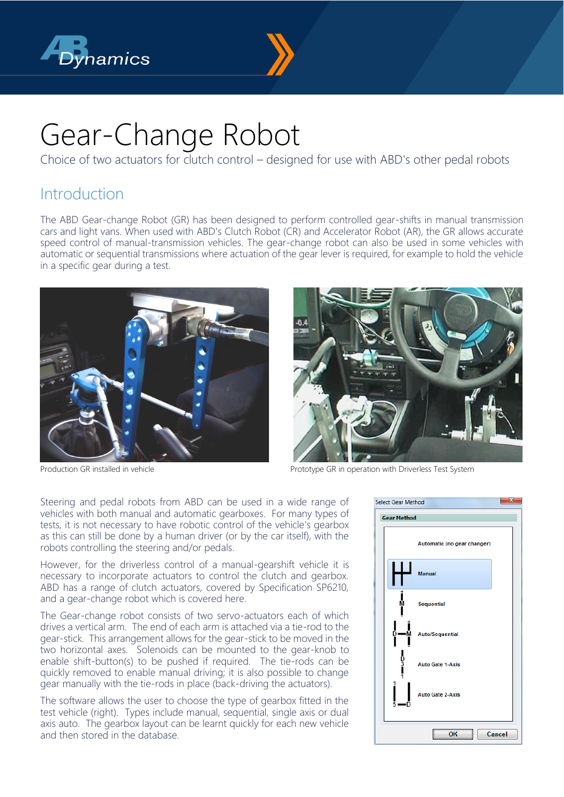



# Gear-Change Robot

Choice of two actuators for clutch control – designed for use with ABD's other pedal robots

# Introduction

The ABD Gear-change Robot (GR) has been designed to perform controlled gear-shifts in manual transmission cars and light vans. When used with ABD's Clutch Robot (CR) and Accelerator Robot (AR), the GR allows accurate speed control of manual-transmission vehicles. The gear-change robot can also be used in some vehicles with automatic or sequential transmissions where actuation of the gear lever is required, for example to hold the vehicle in a specific gear during a test.





Production GR installed in vehicle **Prototype GR** in operation with Driverless Test System

Steering and pedal robots from ABD can be used in a wide range of vehicles with both manual and automatic gearboxes. For many types of tests, it is not necessary to have robotic control of the vehicle's gearbox as this can still be done by a human driver (or by the car itself), with the robots controlling the steering and/or pedals.

However, for the driverless control of a manual-gearshift vehicle it is necessary to incorporate actuators to control the clutch and gearbox. ABD has a range of clutch actuators, covered by Specification SP6210, and a gear-change robot which is covered here.

The Gear-change robot consists of two servo-actuators each of which drives a vertical arm. The end of each arm is attached via a tie-rod to the gear-stick. This arrangement allows for the gear-stick to be moved in the two horizontal axes. Solenoids can be mounted to the gear-knob to enable shift-button(s) to be pushed if required. The tie-rods can be quickly removed to enable manual driving; it is also possible to change gear manually with the tie-rods in place (back-driving the actuators).

The software allows the user to choose the type of gearbox fitted in the test vehicle (right). Types include manual, sequential, single axis or dual axis auto. The gearbox layout can be learnt quickly for each new vehicle and then stored in the database.